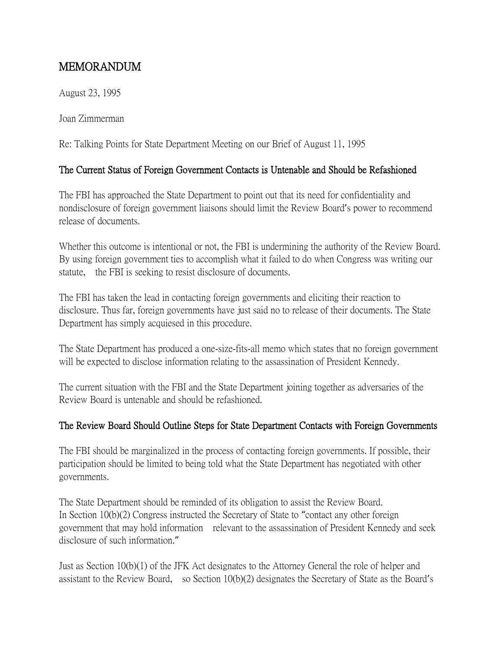## MEMORANDUM

August 23, 1995

Joan Zimmerman

Re: Talking Points for State Department Meeting on our Brief of August 11, 1995

## The Current Status of Foreign Government Contacts is Untenable and Should be Refashioned

The FBI has approached the State Department to point out that its need for confidentiality and nondisclosure of foreign government liaisons should limit the Review Board's power to recommend release of documents.

Whether this outcome is intentional or not, the FBI is undermining the authority of the Review Board. By using foreign government ties to accomplish what it failed to do when Congress was writing our statute, the FBI is seeking to resist disclosure of documents.

The FBI has taken the lead in contacting foreign governments and eliciting their reaction to disclosure. Thus far, foreign governments have just said no to release of their documents. The State Department has simply acquiesed in this procedure.

The State Department has produced a one-size-fits-all memo which states that no foreign government will be expected to disclose information relating to the assassination of President Kennedy.

The current situation with the FBI and the State Department joining together as adversaries of the Review Board is untenable and should be refashioned.

## The Review Board Should Outline Steps for State Department Contacts with Foreign Governments

The FBI should be marginalized in the process of contacting foreign governments. If possible, their participation should be limited to being told what the State Department has negotiated with other governments.

The State Department should be reminded of its obligation to assist the Review Board. In Section 10(b)(2) Congress instructed the Secretary of State to "contact any other foreign government that may hold information relevant to the assassination of President Kennedy and seek disclosure of such information."

Just as Section 10(b)(1) of the JFK Act designates to the Attorney General the role of helper and assistant to the Review Board, so Section 10(b)(2) designates the Secretary of State as the Board's